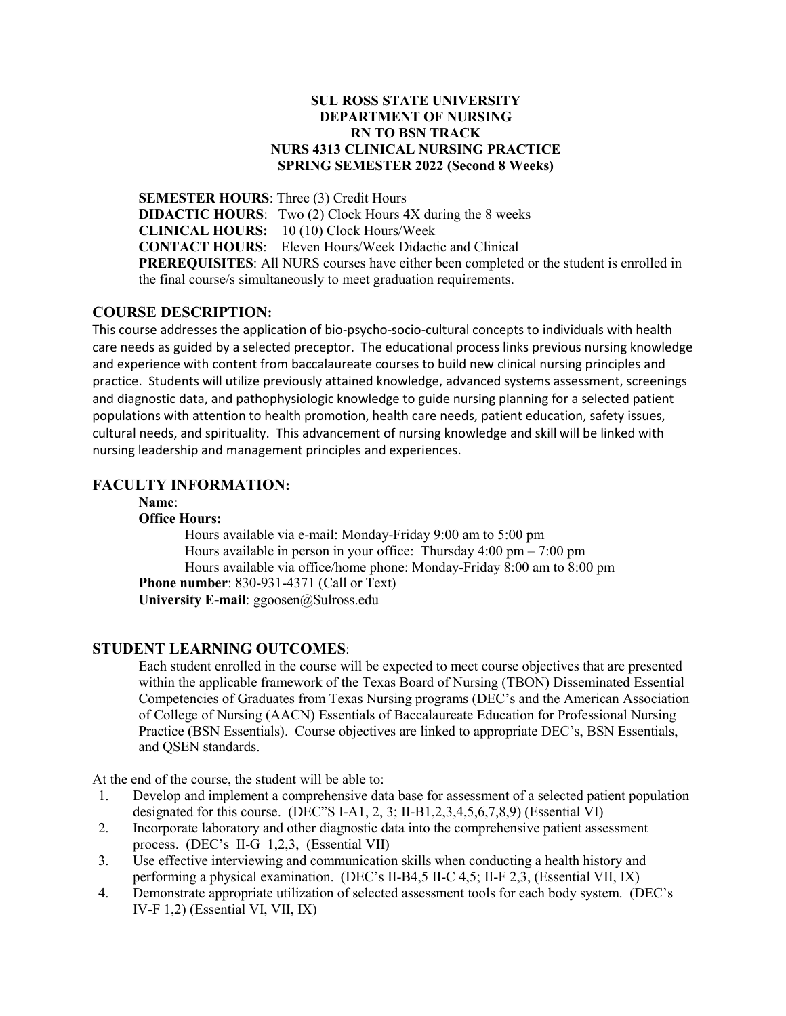#### **SUL ROSS STATE UNIVERSITY DEPARTMENT OF NURSING RN TO BSN TRACK NURS 4313 CLINICAL NURSING PRACTICE SPRING SEMESTER 2022 (Second 8 Weeks)**

**SEMESTER HOURS**: Three (3) Credit Hours **DIDACTIC HOURS:** Two (2) Clock Hours 4X during the 8 weeks **CLINICAL HOURS:** 10 (10) Clock Hours/Week **CONTACT HOURS**: Eleven Hours/Week Didactic and Clinical **PREREQUISITES**: All NURS courses have either been completed or the student is enrolled in the final course/s simultaneously to meet graduation requirements.

# **COURSE DESCRIPTION:**

This course addresses the application of bio-psycho-socio-cultural concepts to individuals with health care needs as guided by a selected preceptor. The educational process links previous nursing knowledge and experience with content from baccalaureate courses to build new clinical nursing principles and practice. Students will utilize previously attained knowledge, advanced systems assessment, screenings and diagnostic data, and pathophysiologic knowledge to guide nursing planning for a selected patient populations with attention to health promotion, health care needs, patient education, safety issues, cultural needs, and spirituality. This advancement of nursing knowledge and skill will be linked with nursing leadership and management principles and experiences.

# **FACULTY INFORMATION:**

**Name**:

#### **Office Hours:**

Hours available via e-mail: Monday-Friday 9:00 am to 5:00 pm Hours available in person in your office: Thursday  $4:00 \text{ pm} - 7:00 \text{ pm}$ Hours available via office/home phone: Monday-Friday 8:00 am to 8:00 pm **Phone number**: 830-931-4371 (Call or Text) **University E-mail**: ggoosen@Sulross.edu

# **STUDENT LEARNING OUTCOMES**:

Each student enrolled in the course will be expected to meet course objectives that are presented within the applicable framework of the Texas Board of Nursing (TBON) Disseminated Essential Competencies of Graduates from Texas Nursing programs (DEC's and the American Association of College of Nursing (AACN) Essentials of Baccalaureate Education for Professional Nursing Practice (BSN Essentials). Course objectives are linked to appropriate DEC's, BSN Essentials, and QSEN standards.

At the end of the course, the student will be able to:

- 1. Develop and implement a comprehensive data base for assessment of a selected patient population designated for this course. (DEC"S I-A1, 2, 3; II-B1,2,3,4,5,6,7,8,9) (Essential VI)
- 2. Incorporate laboratory and other diagnostic data into the comprehensive patient assessment process. (DEC's II-G 1,2,3, (Essential VII)
- 3. Use effective interviewing and communication skills when conducting a health history and performing a physical examination. (DEC's II-B4,5 II-C 4,5; II-F 2,3, (Essential VII, IX)
- 4. Demonstrate appropriate utilization of selected assessment tools for each body system. (DEC's IV-F 1,2) (Essential VI, VII, IX)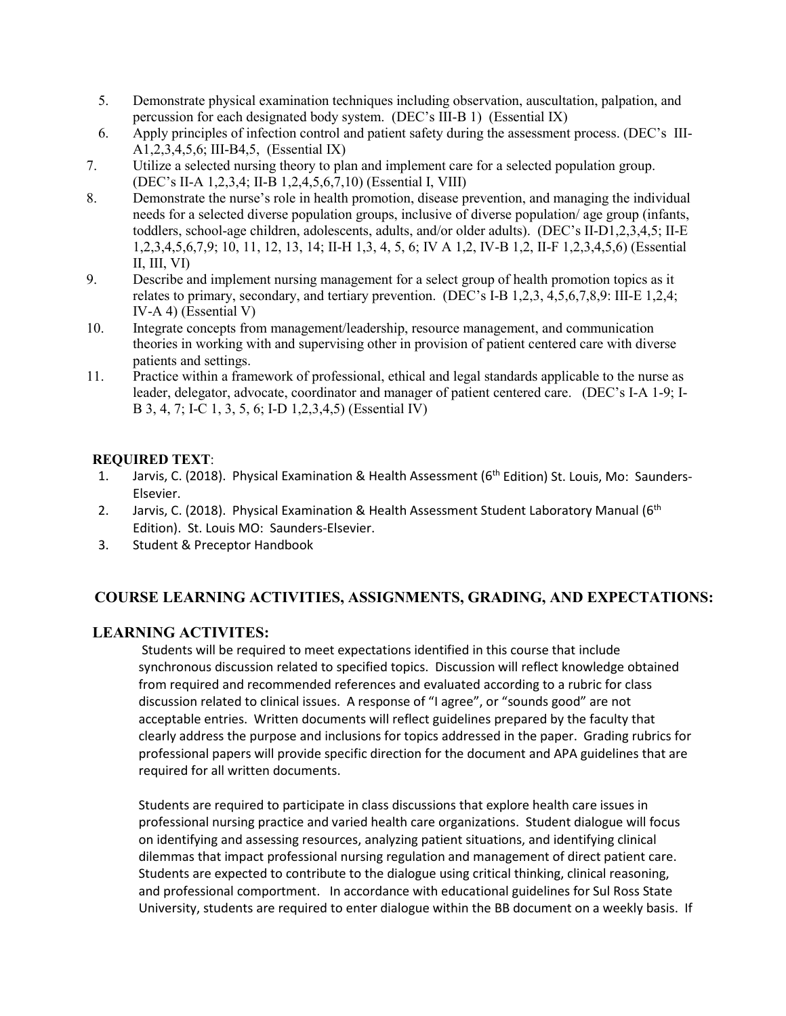- 5. Demonstrate physical examination techniques including observation, auscultation, palpation, and percussion for each designated body system. (DEC's III-B 1) (Essential IX)
- 6. Apply principles of infection control and patient safety during the assessment process. (DEC's III-A1,2,3,4,5,6; III-B4,5, (Essential IX)
- 7. Utilize a selected nursing theory to plan and implement care for a selected population group. (DEC's II-A 1,2,3,4; II-B 1,2,4,5,6,7,10) (Essential I, VIII)
- 8. Demonstrate the nurse's role in health promotion, disease prevention, and managing the individual needs for a selected diverse population groups, inclusive of diverse population/ age group (infants, toddlers, school-age children, adolescents, adults, and/or older adults). (DEC's II-D1,2,3,4,5; II-E 1,2,3,4,5,6,7,9; 10, 11, 12, 13, 14; II-H 1,3, 4, 5, 6; IV A 1,2, IV-B 1,2, II-F 1,2,3,4,5,6) (Essential II, III, VI)
- 9. Describe and implement nursing management for a select group of health promotion topics as it relates to primary, secondary, and tertiary prevention. (DEC's I-B 1,2,3, 4,5,6,7,8,9: III-E 1,2,4; IV-A 4) (Essential V)
- 10. Integrate concepts from management/leadership, resource management, and communication theories in working with and supervising other in provision of patient centered care with diverse patients and settings.
- 11. Practice within a framework of professional, ethical and legal standards applicable to the nurse as leader, delegator, advocate, coordinator and manager of patient centered care. (DEC's I-A 1-9; I-B 3, 4, 7; I-C 1, 3, 5, 6; I-D 1,2,3,4,5) (Essential IV)

# **REQUIRED TEXT**:

- 1. Jarvis, C. (2018). Physical Examination & Health Assessment (6<sup>th</sup> Edition) St. Louis, Mo: Saunders-Elsevier.
- 2. Jarvis, C. (2018). Physical Examination & Health Assessment Student Laboratory Manual (6<sup>th</sup> Edition). St. Louis MO: Saunders-Elsevier.
- 3. Student & Preceptor Handbook

# **COURSE LEARNING ACTIVITIES, ASSIGNMENTS, GRADING, AND EXPECTATIONS:**

# **LEARNING ACTIVITES:**

Students will be required to meet expectations identified in this course that include synchronous discussion related to specified topics. Discussion will reflect knowledge obtained from required and recommended references and evaluated according to a rubric for class discussion related to clinical issues. A response of "I agree", or "sounds good" are not acceptable entries. Written documents will reflect guidelines prepared by the faculty that clearly address the purpose and inclusions for topics addressed in the paper. Grading rubrics for professional papers will provide specific direction for the document and APA guidelines that are required for all written documents.

Students are required to participate in class discussions that explore health care issues in professional nursing practice and varied health care organizations. Student dialogue will focus on identifying and assessing resources, analyzing patient situations, and identifying clinical dilemmas that impact professional nursing regulation and management of direct patient care. Students are expected to contribute to the dialogue using critical thinking, clinical reasoning, and professional comportment. In accordance with educational guidelines for Sul Ross State University, students are required to enter dialogue within the BB document on a weekly basis. If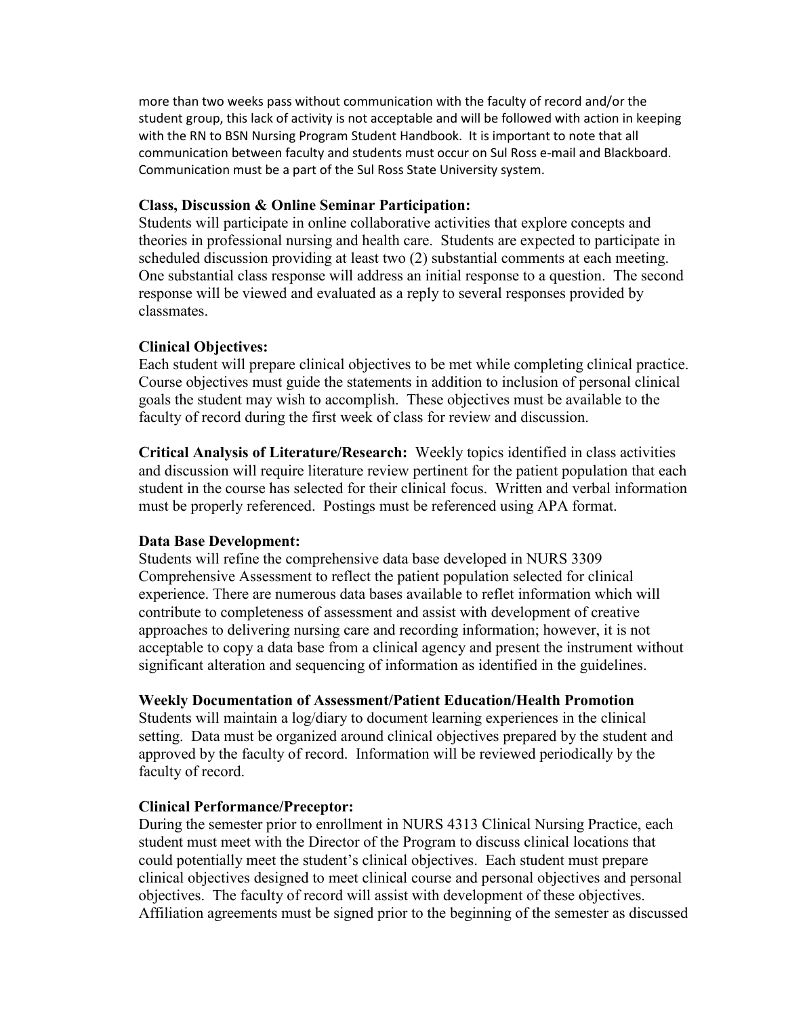more than two weeks pass without communication with the faculty of record and/or the student group, this lack of activity is not acceptable and will be followed with action in keeping with the RN to BSN Nursing Program Student Handbook. It is important to note that all communication between faculty and students must occur on Sul Ross e-mail and Blackboard. Communication must be a part of the Sul Ross State University system.

#### **Class, Discussion & Online Seminar Participation:**

Students will participate in online collaborative activities that explore concepts and theories in professional nursing and health care. Students are expected to participate in scheduled discussion providing at least two (2) substantial comments at each meeting. One substantial class response will address an initial response to a question. The second response will be viewed and evaluated as a reply to several responses provided by classmates.

# **Clinical Objectives:**

Each student will prepare clinical objectives to be met while completing clinical practice. Course objectives must guide the statements in addition to inclusion of personal clinical goals the student may wish to accomplish. These objectives must be available to the faculty of record during the first week of class for review and discussion.

**Critical Analysis of Literature/Research:** Weekly topics identified in class activities and discussion will require literature review pertinent for the patient population that each student in the course has selected for their clinical focus. Written and verbal information must be properly referenced. Postings must be referenced using APA format.

# **Data Base Development:**

Students will refine the comprehensive data base developed in NURS 3309 Comprehensive Assessment to reflect the patient population selected for clinical experience. There are numerous data bases available to reflet information which will contribute to completeness of assessment and assist with development of creative approaches to delivering nursing care and recording information; however, it is not acceptable to copy a data base from a clinical agency and present the instrument without significant alteration and sequencing of information as identified in the guidelines.

# **Weekly Documentation of Assessment/Patient Education/Health Promotion**

Students will maintain a log/diary to document learning experiences in the clinical setting. Data must be organized around clinical objectives prepared by the student and approved by the faculty of record. Information will be reviewed periodically by the faculty of record.

# **Clinical Performance/Preceptor:**

During the semester prior to enrollment in NURS 4313 Clinical Nursing Practice, each student must meet with the Director of the Program to discuss clinical locations that could potentially meet the student's clinical objectives. Each student must prepare clinical objectives designed to meet clinical course and personal objectives and personal objectives. The faculty of record will assist with development of these objectives. Affiliation agreements must be signed prior to the beginning of the semester as discussed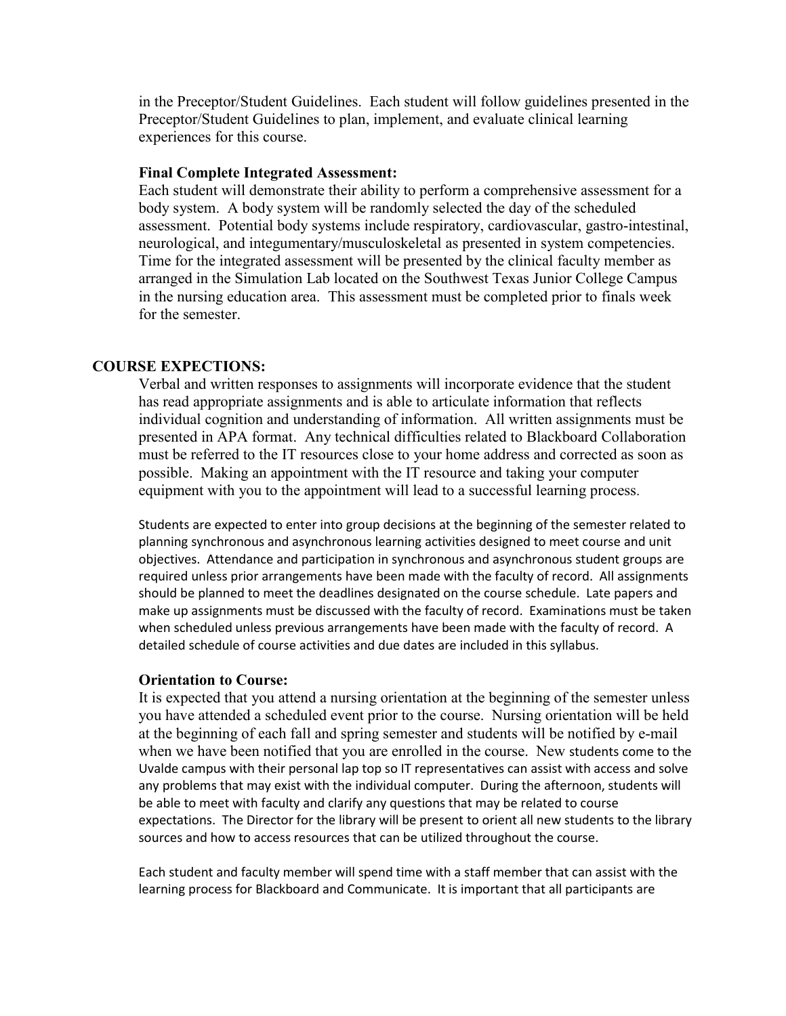in the Preceptor/Student Guidelines. Each student will follow guidelines presented in the Preceptor/Student Guidelines to plan, implement, and evaluate clinical learning experiences for this course.

#### **Final Complete Integrated Assessment:**

Each student will demonstrate their ability to perform a comprehensive assessment for a body system. A body system will be randomly selected the day of the scheduled assessment. Potential body systems include respiratory, cardiovascular, gastro-intestinal, neurological, and integumentary/musculoskeletal as presented in system competencies. Time for the integrated assessment will be presented by the clinical faculty member as arranged in the Simulation Lab located on the Southwest Texas Junior College Campus in the nursing education area. This assessment must be completed prior to finals week for the semester.

#### **COURSE EXPECTIONS:**

Verbal and written responses to assignments will incorporate evidence that the student has read appropriate assignments and is able to articulate information that reflects individual cognition and understanding of information. All written assignments must be presented in APA format. Any technical difficulties related to Blackboard Collaboration must be referred to the IT resources close to your home address and corrected as soon as possible. Making an appointment with the IT resource and taking your computer equipment with you to the appointment will lead to a successful learning process.

Students are expected to enter into group decisions at the beginning of the semester related to planning synchronous and asynchronous learning activities designed to meet course and unit objectives. Attendance and participation in synchronous and asynchronous student groups are required unless prior arrangements have been made with the faculty of record. All assignments should be planned to meet the deadlines designated on the course schedule. Late papers and make up assignments must be discussed with the faculty of record. Examinations must be taken when scheduled unless previous arrangements have been made with the faculty of record. A detailed schedule of course activities and due dates are included in this syllabus.

#### **Orientation to Course:**

It is expected that you attend a nursing orientation at the beginning of the semester unless you have attended a scheduled event prior to the course. Nursing orientation will be held at the beginning of each fall and spring semester and students will be notified by e-mail when we have been notified that you are enrolled in the course. New students come to the Uvalde campus with their personal lap top so IT representatives can assist with access and solve any problems that may exist with the individual computer. During the afternoon, students will be able to meet with faculty and clarify any questions that may be related to course expectations. The Director for the library will be present to orient all new students to the library sources and how to access resources that can be utilized throughout the course.

Each student and faculty member will spend time with a staff member that can assist with the learning process for Blackboard and Communicate. It is important that all participants are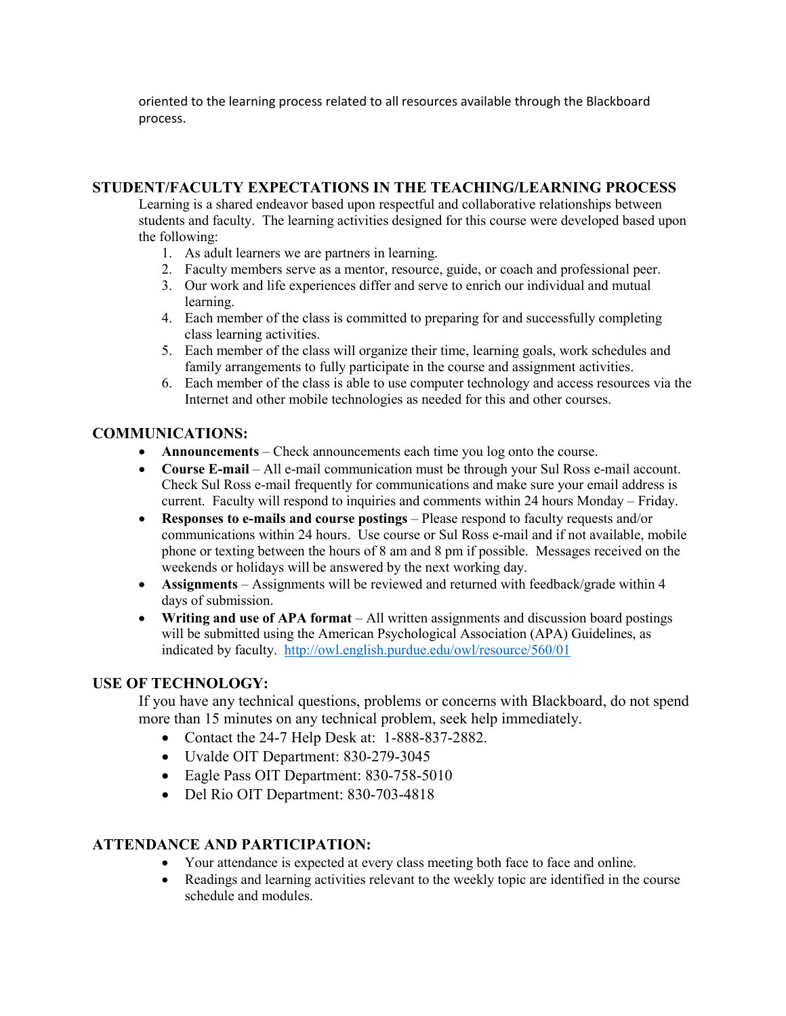oriented to the learning process related to all resources available through the Blackboard process.

# **STUDENT/FACULTY EXPECTATIONS IN THE TEACHING/LEARNING PROCESS**

Learning is a shared endeavor based upon respectful and collaborative relationships between students and faculty. The learning activities designed for this course were developed based upon the following:

- 1. As adult learners we are partners in learning.
- 2. Faculty members serve as a mentor, resource, guide, or coach and professional peer.
- 3. Our work and life experiences differ and serve to enrich our individual and mutual learning.
- 4. Each member of the class is committed to preparing for and successfully completing class learning activities.
- 5. Each member of the class will organize their time, learning goals, work schedules and family arrangements to fully participate in the course and assignment activities.
- 6. Each member of the class is able to use computer technology and access resources via the Internet and other mobile technologies as needed for this and other courses.

# **COMMUNICATIONS:**

- **Announcements** Check announcements each time you log onto the course.
- **Course E-mail** All e-mail communication must be through your Sul Ross e-mail account. Check Sul Ross e-mail frequently for communications and make sure your email address is current. Faculty will respond to inquiries and comments within 24 hours Monday – Friday.
- **Responses to e-mails and course postings** Please respond to faculty requests and/or communications within 24 hours. Use course or Sul Ross e-mail and if not available, mobile phone or texting between the hours of 8 am and 8 pm if possible. Messages received on the weekends or holidays will be answered by the next working day.
- **Assignments** Assignments will be reviewed and returned with feedback/grade within 4 days of submission.
- **Writing and use of APA format** All written assignments and discussion board postings will be submitted using the American Psychological Association (APA) Guidelines, as indicated by faculty. <http://owl.english.purdue.edu/owl/resource/560/01>

# **USE OF TECHNOLOGY:**

If you have any technical questions, problems or concerns with Blackboard, do not spend more than 15 minutes on any technical problem, seek help immediately.

- Contact the 24-7 Help Desk at: 1-888-837-2882.
- Uvalde OIT Department: 830-279-3045
- Eagle Pass OIT Department: 830-758-5010
- Del Rio OIT Department: 830-703-4818

# **ATTENDANCE AND PARTICIPATION:**

- Your attendance is expected at every class meeting both face to face and online.
- Readings and learning activities relevant to the weekly topic are identified in the course schedule and modules.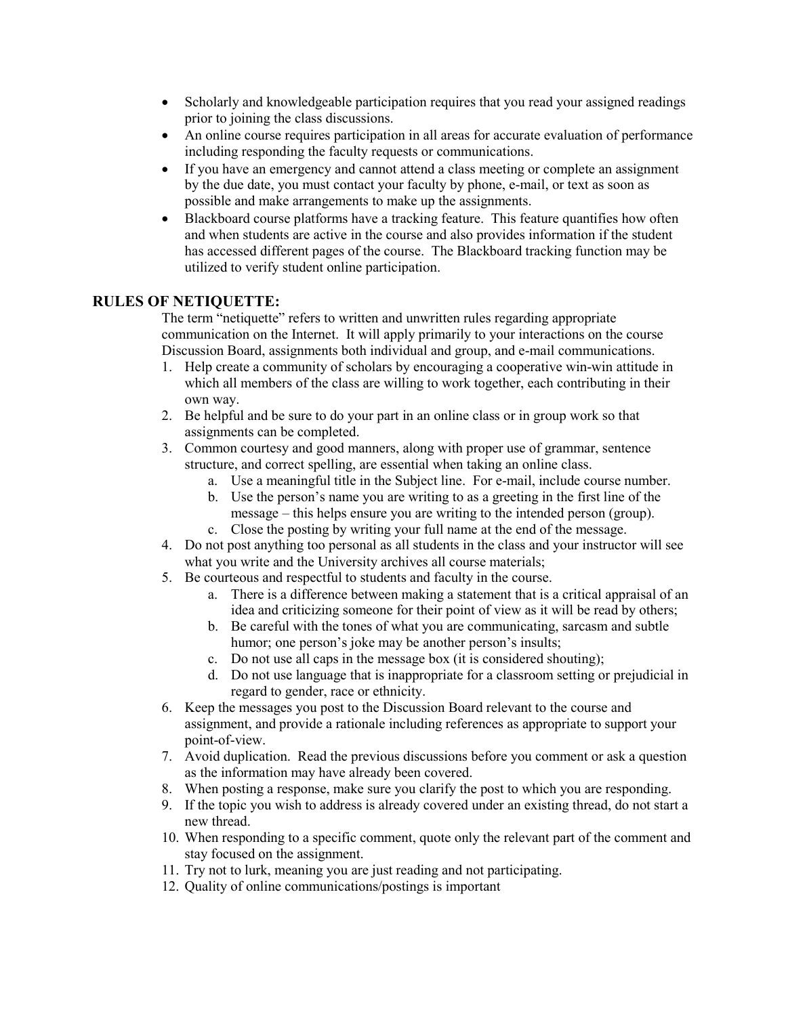- Scholarly and knowledgeable participation requires that you read your assigned readings prior to joining the class discussions.
- An online course requires participation in all areas for accurate evaluation of performance including responding the faculty requests or communications.
- If you have an emergency and cannot attend a class meeting or complete an assignment by the due date, you must contact your faculty by phone, e-mail, or text as soon as possible and make arrangements to make up the assignments.
- Blackboard course platforms have a tracking feature. This feature quantifies how often and when students are active in the course and also provides information if the student has accessed different pages of the course. The Blackboard tracking function may be utilized to verify student online participation.

# **RULES OF NETIQUETTE:**

The term "netiquette" refers to written and unwritten rules regarding appropriate communication on the Internet. It will apply primarily to your interactions on the course Discussion Board, assignments both individual and group, and e-mail communications.

- 1. Help create a community of scholars by encouraging a cooperative win-win attitude in which all members of the class are willing to work together, each contributing in their own way.
- 2. Be helpful and be sure to do your part in an online class or in group work so that assignments can be completed.
- 3. Common courtesy and good manners, along with proper use of grammar, sentence structure, and correct spelling, are essential when taking an online class.
	- a. Use a meaningful title in the Subject line. For e-mail, include course number.
	- b. Use the person's name you are writing to as a greeting in the first line of the message – this helps ensure you are writing to the intended person (group).
	- c. Close the posting by writing your full name at the end of the message.
- 4. Do not post anything too personal as all students in the class and your instructor will see what you write and the University archives all course materials;
- 5. Be courteous and respectful to students and faculty in the course.
	- a. There is a difference between making a statement that is a critical appraisal of an idea and criticizing someone for their point of view as it will be read by others;
	- b. Be careful with the tones of what you are communicating, sarcasm and subtle humor; one person's joke may be another person's insults;
	- c. Do not use all caps in the message box (it is considered shouting);
	- d. Do not use language that is inappropriate for a classroom setting or prejudicial in regard to gender, race or ethnicity.
- 6. Keep the messages you post to the Discussion Board relevant to the course and assignment, and provide a rationale including references as appropriate to support your point-of-view.
- 7. Avoid duplication. Read the previous discussions before you comment or ask a question as the information may have already been covered.
- 8. When posting a response, make sure you clarify the post to which you are responding.
- 9. If the topic you wish to address is already covered under an existing thread, do not start a new thread.
- 10. When responding to a specific comment, quote only the relevant part of the comment and stay focused on the assignment.
- 11. Try not to lurk, meaning you are just reading and not participating.
- 12. Quality of online communications/postings is important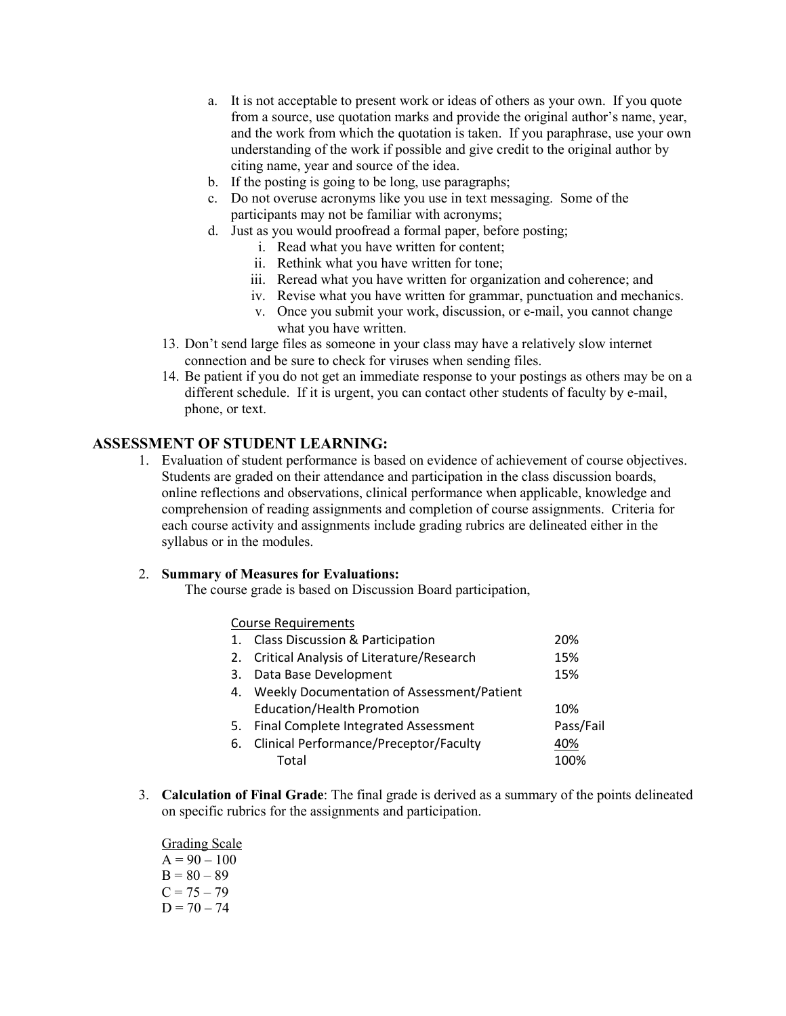- a. It is not acceptable to present work or ideas of others as your own. If you quote from a source, use quotation marks and provide the original author's name, year, and the work from which the quotation is taken. If you paraphrase, use your own understanding of the work if possible and give credit to the original author by citing name, year and source of the idea.
- b. If the posting is going to be long, use paragraphs;
- c. Do not overuse acronyms like you use in text messaging. Some of the participants may not be familiar with acronyms;
- d. Just as you would proofread a formal paper, before posting;
	- i. Read what you have written for content;
	- ii. Rethink what you have written for tone;
	- iii. Reread what you have written for organization and coherence; and
	- iv. Revise what you have written for grammar, punctuation and mechanics.
	- v. Once you submit your work, discussion, or e-mail, you cannot change what you have written.
- 13. Don't send large files as someone in your class may have a relatively slow internet connection and be sure to check for viruses when sending files.
- 14. Be patient if you do not get an immediate response to your postings as others may be on a different schedule. If it is urgent, you can contact other students of faculty by e-mail, phone, or text.

#### **ASSESSMENT OF STUDENT LEARNING:**

1. Evaluation of student performance is based on evidence of achievement of course objectives. Students are graded on their attendance and participation in the class discussion boards, online reflections and observations, clinical performance when applicable, knowledge and comprehension of reading assignments and completion of course assignments. Criteria for each course activity and assignments include grading rubrics are delineated either in the syllabus or in the modules.

#### 2. **Summary of Measures for Evaluations:**

The course grade is based on Discussion Board participation,

| <b>Course Requirements</b>                    |           |
|-----------------------------------------------|-----------|
| 1. Class Discussion & Participation           | 20%       |
| 2. Critical Analysis of Literature/Research   | 15%       |
| 3. Data Base Development                      | 15%       |
| 4. Weekly Documentation of Assessment/Patient |           |
| <b>Education/Health Promotion</b>             | 10%       |
| 5. Final Complete Integrated Assessment       | Pass/Fail |
| 6. Clinical Performance/Preceptor/Faculty     | 40%       |
| Total                                         | 100%      |
|                                               |           |

3. **Calculation of Final Grade**: The final grade is derived as a summary of the points delineated on specific rubrics for the assignments and participation.

Grading Scale  $A = 90 - 100$  $B = 80 - 89$  $C = 75 - 79$  $D = 70 - 74$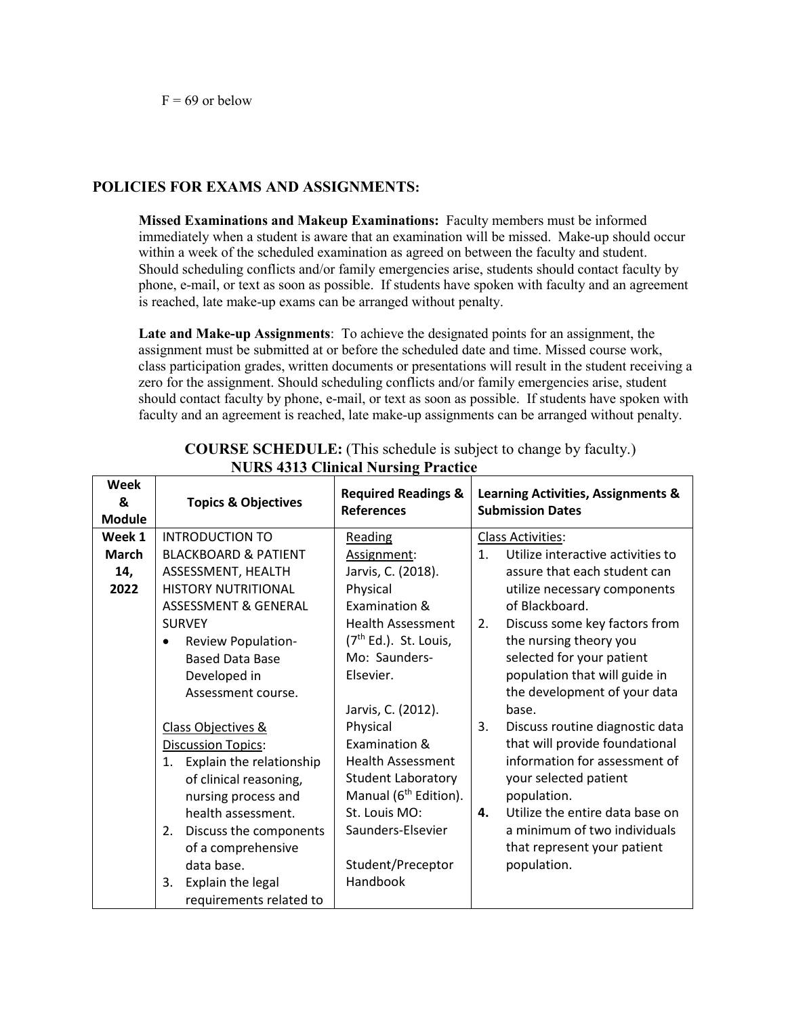# **POLICIES FOR EXAMS AND ASSIGNMENTS:**

**Missed Examinations and Makeup Examinations:** Faculty members must be informed immediately when a student is aware that an examination will be missed. Make-up should occur within a week of the scheduled examination as agreed on between the faculty and student. Should scheduling conflicts and/or family emergencies arise, students should contact faculty by phone, e-mail, or text as soon as possible. If students have spoken with faculty and an agreement is reached, late make-up exams can be arranged without penalty.

**Late and Make-up Assignments**: To achieve the designated points for an assignment, the assignment must be submitted at or before the scheduled date and time. Missed course work, class participation grades, written documents or presentations will result in the student receiving a zero for the assignment. Should scheduling conflicts and/or family emergencies arise, student should contact faculty by phone, e-mail, or text as soon as possible. If students have spoken with faculty and an agreement is reached, late make-up assignments can be arranged without penalty.

| <b>Week</b><br>&<br><b>Module</b> | <b>Topics &amp; Objectives</b>  | <b>Required Readings &amp;</b><br><b>References</b> | Learning Activities, Assignments &<br><b>Submission Dates</b> |  |
|-----------------------------------|---------------------------------|-----------------------------------------------------|---------------------------------------------------------------|--|
| Week 1                            | <b>INTRODUCTION TO</b>          | <b>Reading</b>                                      | <b>Class Activities:</b>                                      |  |
| <b>March</b>                      | <b>BLACKBOARD &amp; PATIENT</b> | Assignment:                                         | 1 <sub>1</sub><br>Utilize interactive activities to           |  |
| 14,                               | ASSESSMENT, HEALTH              | Jarvis, C. (2018).                                  | assure that each student can                                  |  |
| 2022                              | <b>HISTORY NUTRITIONAL</b>      | Physical                                            | utilize necessary components                                  |  |
|                                   | <b>ASSESSMENT &amp; GENERAL</b> | Examination &                                       | of Blackboard.                                                |  |
|                                   | <b>SURVEY</b>                   | <b>Health Assessment</b>                            | 2.<br>Discuss some key factors from                           |  |
|                                   | Review Population-              | $(7th Ed.)$ . St. Louis,                            | the nursing theory you                                        |  |
|                                   | <b>Based Data Base</b>          | Mo: Saunders-                                       | selected for your patient                                     |  |
|                                   | Developed in                    | Elsevier.                                           | population that will guide in                                 |  |
|                                   | Assessment course.              |                                                     | the development of your data                                  |  |
|                                   |                                 | Jarvis, C. (2012).                                  | base.                                                         |  |
|                                   | Class Objectives &              | Physical                                            | 3.<br>Discuss routine diagnostic data                         |  |
|                                   | <b>Discussion Topics:</b>       | Examination &                                       | that will provide foundational                                |  |
|                                   | Explain the relationship<br>1.  | <b>Health Assessment</b>                            | information for assessment of                                 |  |
|                                   | of clinical reasoning,          | <b>Student Laboratory</b>                           | your selected patient                                         |  |
|                                   | nursing process and             | Manual (6 <sup>th</sup> Edition).                   | population.                                                   |  |
|                                   | health assessment.              | St. Louis MO:                                       | Utilize the entire data base on<br>4.                         |  |
|                                   | Discuss the components<br>2.    | Saunders-Elsevier                                   | a minimum of two individuals                                  |  |
|                                   | of a comprehensive              |                                                     | that represent your patient                                   |  |
|                                   | data base.                      | Student/Preceptor                                   | population.                                                   |  |
|                                   | Explain the legal<br>3.         | Handbook                                            |                                                               |  |
|                                   | requirements related to         |                                                     |                                                               |  |

**COURSE SCHEDULE:** (This schedule is subject to change by faculty.) **NURS 4313 Clinical Nursing Practice**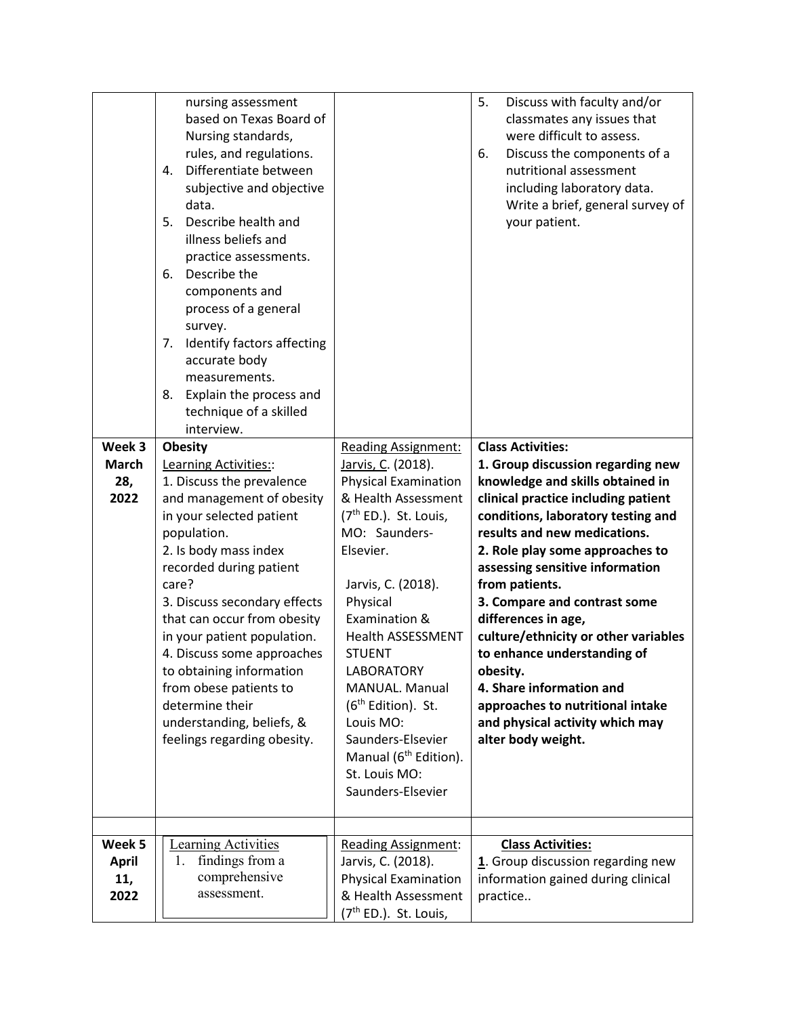|                                       | nursing assessment<br>based on Texas Board of<br>Nursing standards,<br>rules, and regulations.<br>Differentiate between<br>4.<br>subjective and objective<br>data.<br>Describe health and<br>5.<br>illness beliefs and<br>practice assessments.<br>Describe the<br>6.<br>components and<br>process of a general<br>survey.<br>Identify factors affecting<br>7.<br>accurate body<br>measurements.<br>Explain the process and<br>8.<br>technique of a skilled<br>interview.  |                                                                                                                                                                                                                                                                                                                                                                                                                                                          | 5.<br>Discuss with faculty and/or<br>classmates any issues that<br>were difficult to assess.<br>Discuss the components of a<br>6.<br>nutritional assessment<br>including laboratory data.<br>Write a brief, general survey of<br>your patient.                                                                                                                                                                                                                                                                                                                            |
|---------------------------------------|----------------------------------------------------------------------------------------------------------------------------------------------------------------------------------------------------------------------------------------------------------------------------------------------------------------------------------------------------------------------------------------------------------------------------------------------------------------------------|----------------------------------------------------------------------------------------------------------------------------------------------------------------------------------------------------------------------------------------------------------------------------------------------------------------------------------------------------------------------------------------------------------------------------------------------------------|---------------------------------------------------------------------------------------------------------------------------------------------------------------------------------------------------------------------------------------------------------------------------------------------------------------------------------------------------------------------------------------------------------------------------------------------------------------------------------------------------------------------------------------------------------------------------|
| Week 3<br><b>March</b><br>28,<br>2022 | <b>Obesity</b><br>Learning Activities::<br>1. Discuss the prevalence<br>and management of obesity<br>in your selected patient<br>population.<br>2. Is body mass index<br>recorded during patient<br>care?<br>3. Discuss secondary effects<br>that can occur from obesity<br>in your patient population.<br>4. Discuss some approaches<br>to obtaining information<br>from obese patients to<br>determine their<br>understanding, beliefs, &<br>feelings regarding obesity. | <b>Reading Assignment:</b><br>Jarvis, C. (2018).<br><b>Physical Examination</b><br>& Health Assessment<br>(7 <sup>th</sup> ED.). St. Louis,<br>MO: Saunders-<br>Elsevier.<br>Jarvis, C. (2018).<br>Physical<br>Examination &<br><b>Health ASSESSMENT</b><br><b>STUENT</b><br>LABORATORY<br>MANUAL. Manual<br>(6 <sup>th</sup> Edition). St.<br>Louis MO:<br>Saunders-Elsevier<br>Manual (6 <sup>th</sup> Edition).<br>St. Louis MO:<br>Saunders-Elsevier | <b>Class Activities:</b><br>1. Group discussion regarding new<br>knowledge and skills obtained in<br>clinical practice including patient<br>conditions, laboratory testing and<br>results and new medications.<br>2. Role play some approaches to<br>assessing sensitive information<br>from patients.<br>3. Compare and contrast some<br>differences in age,<br>culture/ethnicity or other variables<br>to enhance understanding of<br>obesity.<br>4. Share information and<br>approaches to nutritional intake<br>and physical activity which may<br>alter body weight. |
| Week 5<br><b>April</b><br>11,<br>2022 | <b>Learning Activities</b><br>findings from a<br>1.<br>comprehensive<br>assessment.                                                                                                                                                                                                                                                                                                                                                                                        | <b>Reading Assignment:</b><br>Jarvis, C. (2018).<br><b>Physical Examination</b><br>& Health Assessment<br>(7 <sup>th</sup> ED.). St. Louis,                                                                                                                                                                                                                                                                                                              | <b>Class Activities:</b><br>1. Group discussion regarding new<br>information gained during clinical<br>practice                                                                                                                                                                                                                                                                                                                                                                                                                                                           |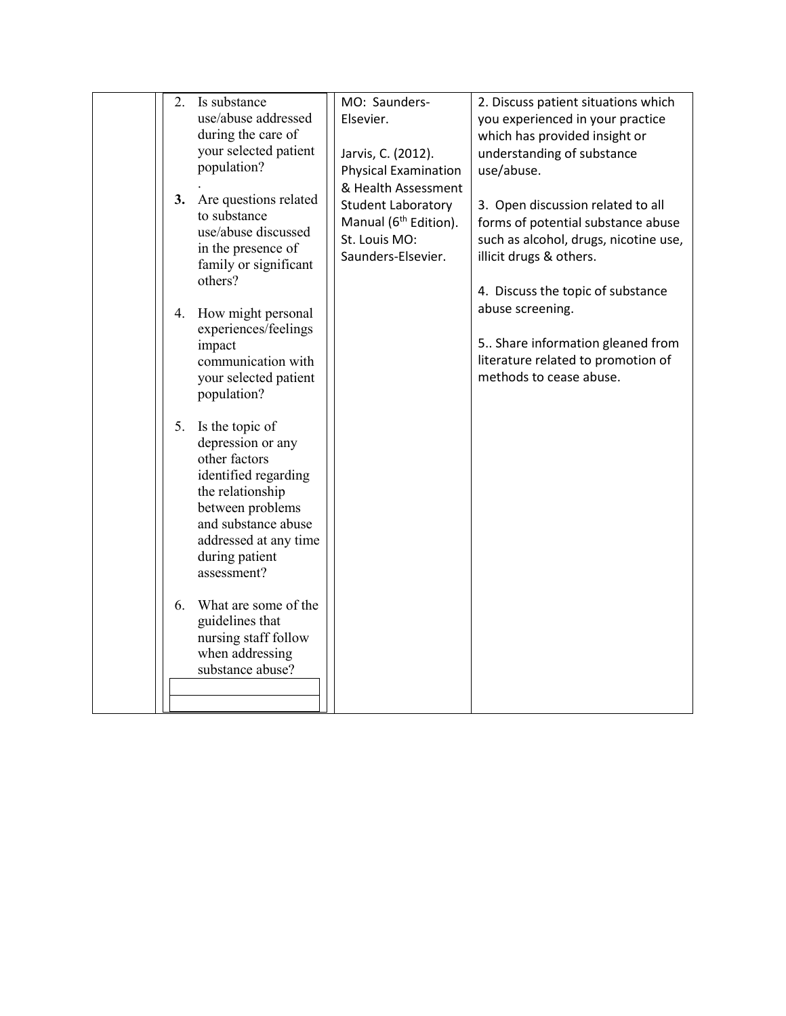| 2. | Is substance                              | MO: Saunders-                     | 2. Discuss patient situations which   |
|----|-------------------------------------------|-----------------------------------|---------------------------------------|
|    | use/abuse addressed                       | Elsevier.                         | you experienced in your practice      |
|    | during the care of                        |                                   | which has provided insight or         |
|    | your selected patient                     | Jarvis, C. (2012).                | understanding of substance            |
|    | population?                               | <b>Physical Examination</b>       | use/abuse.                            |
|    |                                           | & Health Assessment               |                                       |
| 3. | Are questions related                     | Student Laboratory                | 3. Open discussion related to all     |
|    | to substance                              | Manual (6 <sup>th</sup> Edition). | forms of potential substance abuse    |
|    | use/abuse discussed<br>in the presence of | St. Louis MO:                     | such as alcohol, drugs, nicotine use, |
|    | family or significant                     | Saunders-Elsevier.                | illicit drugs & others.               |
|    | others?                                   |                                   |                                       |
|    |                                           |                                   | 4. Discuss the topic of substance     |
| 4. | How might personal                        |                                   | abuse screening.                      |
|    | experiences/feelings                      |                                   |                                       |
|    | impact                                    |                                   | 5 Share information gleaned from      |
|    | communication with                        |                                   | literature related to promotion of    |
|    | your selected patient                     |                                   | methods to cease abuse.               |
|    | population?                               |                                   |                                       |
| 5. | Is the topic of                           |                                   |                                       |
|    | depression or any                         |                                   |                                       |
|    | other factors                             |                                   |                                       |
|    | identified regarding                      |                                   |                                       |
|    | the relationship                          |                                   |                                       |
|    | between problems                          |                                   |                                       |
|    | and substance abuse                       |                                   |                                       |
|    | addressed at any time                     |                                   |                                       |
|    | during patient                            |                                   |                                       |
|    | assessment?                               |                                   |                                       |
| 6. | What are some of the                      |                                   |                                       |
|    | guidelines that                           |                                   |                                       |
|    | nursing staff follow                      |                                   |                                       |
|    | when addressing                           |                                   |                                       |
|    | substance abuse?                          |                                   |                                       |
|    |                                           |                                   |                                       |
|    |                                           |                                   |                                       |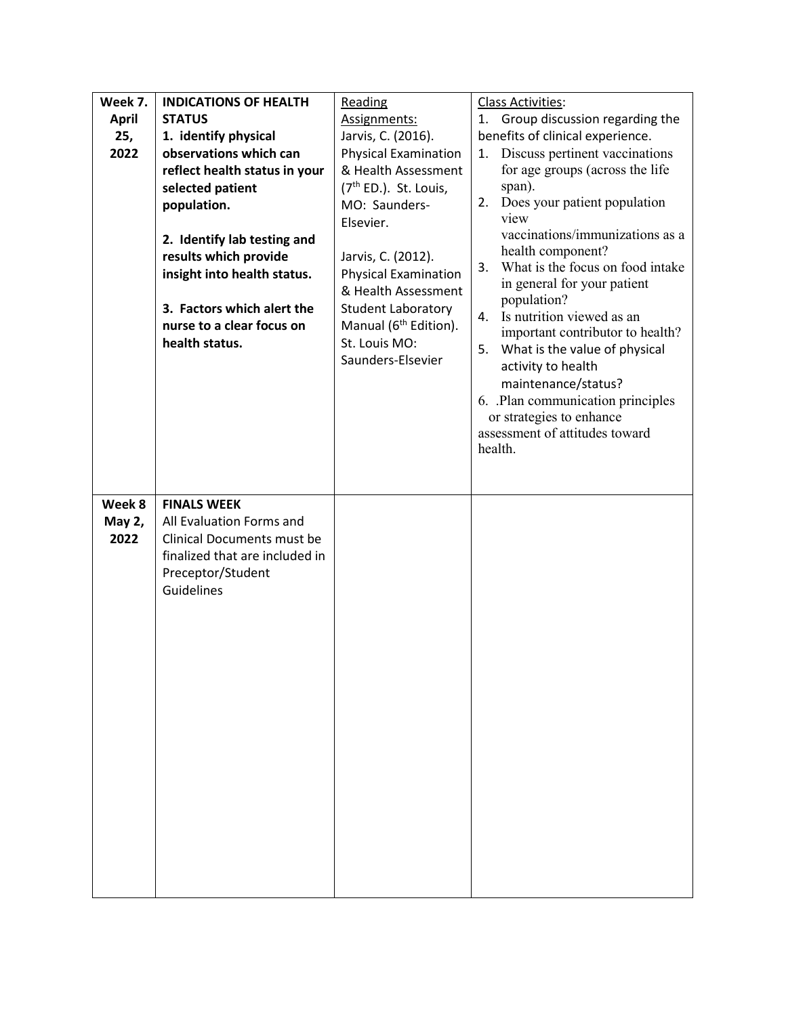| Week 7.      | <b>INDICATIONS OF HEALTH</b>   | Reading                            | Class Activities:                                          |
|--------------|--------------------------------|------------------------------------|------------------------------------------------------------|
| <b>April</b> | <b>STATUS</b>                  | Assignments:                       | 1. Group discussion regarding the                          |
| 25,          | 1. identify physical           | Jarvis, C. (2016).                 | benefits of clinical experience.                           |
| 2022         | observations which can         | <b>Physical Examination</b>        | Discuss pertinent vaccinations<br>1.                       |
|              | reflect health status in your  | & Health Assessment                | for age groups (across the life                            |
|              | selected patient               | (7 <sup>th</sup> ED.). St. Louis,  | span).                                                     |
|              | population.                    | MO: Saunders-                      | Does your patient population<br>2.                         |
|              |                                | Elsevier.                          | view                                                       |
|              | 2. Identify lab testing and    |                                    | vaccinations/immunizations as a<br>health component?       |
|              | results which provide          | Jarvis, C. (2012).                 | What is the focus on food intake<br>3.                     |
|              | insight into health status.    | <b>Physical Examination</b>        | in general for your patient                                |
|              |                                | & Health Assessment                | population?                                                |
|              | 3. Factors which alert the     | Student Laboratory                 | Is nutrition viewed as an<br>4.                            |
|              | nurse to a clear focus on      | Manual (6 <sup>th</sup> Edition).  | important contributor to health?                           |
|              | health status.                 | St. Louis MO:<br>Saunders-Elsevier | What is the value of physical<br>5.                        |
|              |                                |                                    | activity to health                                         |
|              |                                |                                    | maintenance/status?                                        |
|              |                                |                                    | 6. Plan communication principles                           |
|              |                                |                                    | or strategies to enhance<br>assessment of attitudes toward |
|              |                                |                                    | health.                                                    |
|              |                                |                                    |                                                            |
|              |                                |                                    |                                                            |
| Week 8       | <b>FINALS WEEK</b>             |                                    |                                                            |
| May 2,       | All Evaluation Forms and       |                                    |                                                            |
| 2022         | Clinical Documents must be     |                                    |                                                            |
|              | finalized that are included in |                                    |                                                            |
|              | Preceptor/Student              |                                    |                                                            |
|              | Guidelines                     |                                    |                                                            |
|              |                                |                                    |                                                            |
|              |                                |                                    |                                                            |
|              |                                |                                    |                                                            |
|              |                                |                                    |                                                            |
|              |                                |                                    |                                                            |
|              |                                |                                    |                                                            |
|              |                                |                                    |                                                            |
|              |                                |                                    |                                                            |
|              |                                |                                    |                                                            |
|              |                                |                                    |                                                            |
|              |                                |                                    |                                                            |
|              |                                |                                    |                                                            |
|              |                                |                                    |                                                            |
|              |                                |                                    |                                                            |
|              |                                |                                    |                                                            |
|              |                                |                                    |                                                            |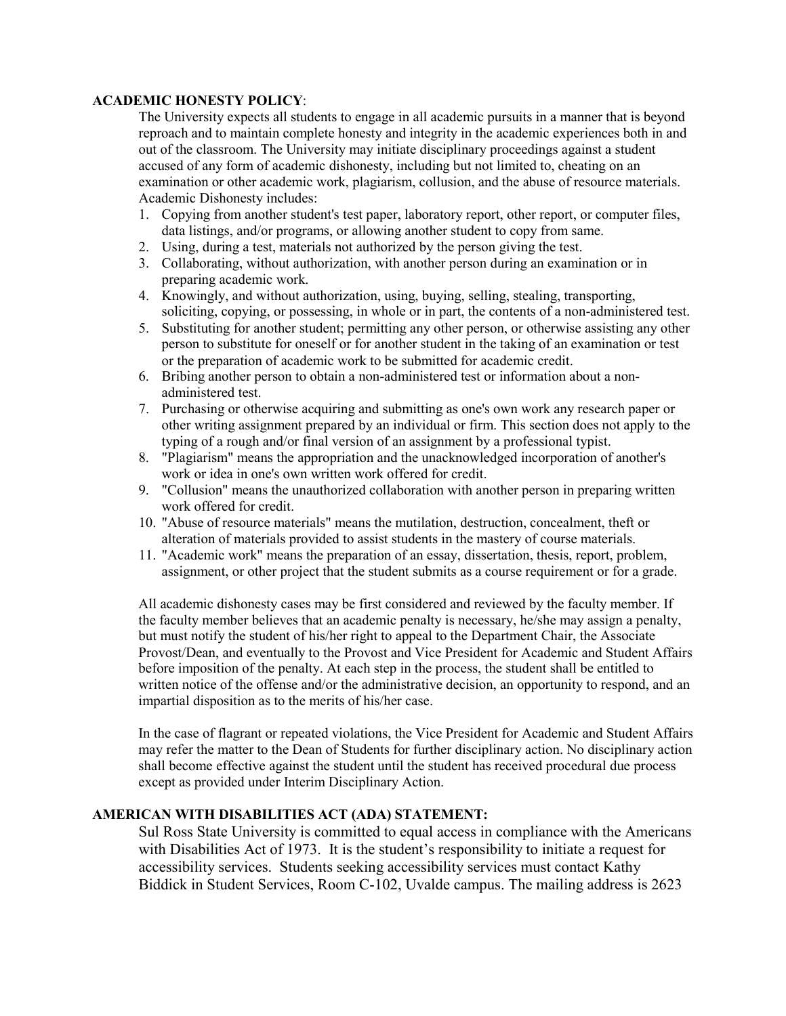#### **ACADEMIC HONESTY POLICY**:

The University expects all students to engage in all academic pursuits in a manner that is beyond reproach and to maintain complete honesty and integrity in the academic experiences both in and out of the classroom. The University may initiate disciplinary proceedings against a student accused of any form of academic dishonesty, including but not limited to, cheating on an examination or other academic work, plagiarism, collusion, and the abuse of resource materials. Academic Dishonesty includes:

- 1. Copying from another student's test paper, laboratory report, other report, or computer files, data listings, and/or programs, or allowing another student to copy from same.
- 2. Using, during a test, materials not authorized by the person giving the test.
- 3. Collaborating, without authorization, with another person during an examination or in preparing academic work.
- 4. Knowingly, and without authorization, using, buying, selling, stealing, transporting, soliciting, copying, or possessing, in whole or in part, the contents of a non-administered test.
- 5. Substituting for another student; permitting any other person, or otherwise assisting any other person to substitute for oneself or for another student in the taking of an examination or test or the preparation of academic work to be submitted for academic credit.
- 6. Bribing another person to obtain a non-administered test or information about a nonadministered test.
- 7. Purchasing or otherwise acquiring and submitting as one's own work any research paper or other writing assignment prepared by an individual or firm. This section does not apply to the typing of a rough and/or final version of an assignment by a professional typist.
- 8. "Plagiarism" means the appropriation and the unacknowledged incorporation of another's work or idea in one's own written work offered for credit.
- 9. "Collusion" means the unauthorized collaboration with another person in preparing written work offered for credit.
- 10. "Abuse of resource materials" means the mutilation, destruction, concealment, theft or alteration of materials provided to assist students in the mastery of course materials.
- 11. "Academic work" means the preparation of an essay, dissertation, thesis, report, problem, assignment, or other project that the student submits as a course requirement or for a grade.

All academic dishonesty cases may be first considered and reviewed by the faculty member. If the faculty member believes that an academic penalty is necessary, he/she may assign a penalty, but must notify the student of his/her right to appeal to the Department Chair, the Associate Provost/Dean, and eventually to the Provost and Vice President for Academic and Student Affairs before imposition of the penalty. At each step in the process, the student shall be entitled to written notice of the offense and/or the administrative decision, an opportunity to respond, and an impartial disposition as to the merits of his/her case.

In the case of flagrant or repeated violations, the Vice President for Academic and Student Affairs may refer the matter to the Dean of Students for further disciplinary action. No disciplinary action shall become effective against the student until the student has received procedural due process except as provided under Interim Disciplinary Action.

# **AMERICAN WITH DISABILITIES ACT (ADA) STATEMENT:**

Sul Ross State University is committed to equal access in compliance with the Americans with Disabilities Act of 1973. It is the student's responsibility to initiate a request for accessibility services. Students seeking accessibility services must contact Kathy Biddick in Student Services, Room C-102, Uvalde campus. The mailing address is 2623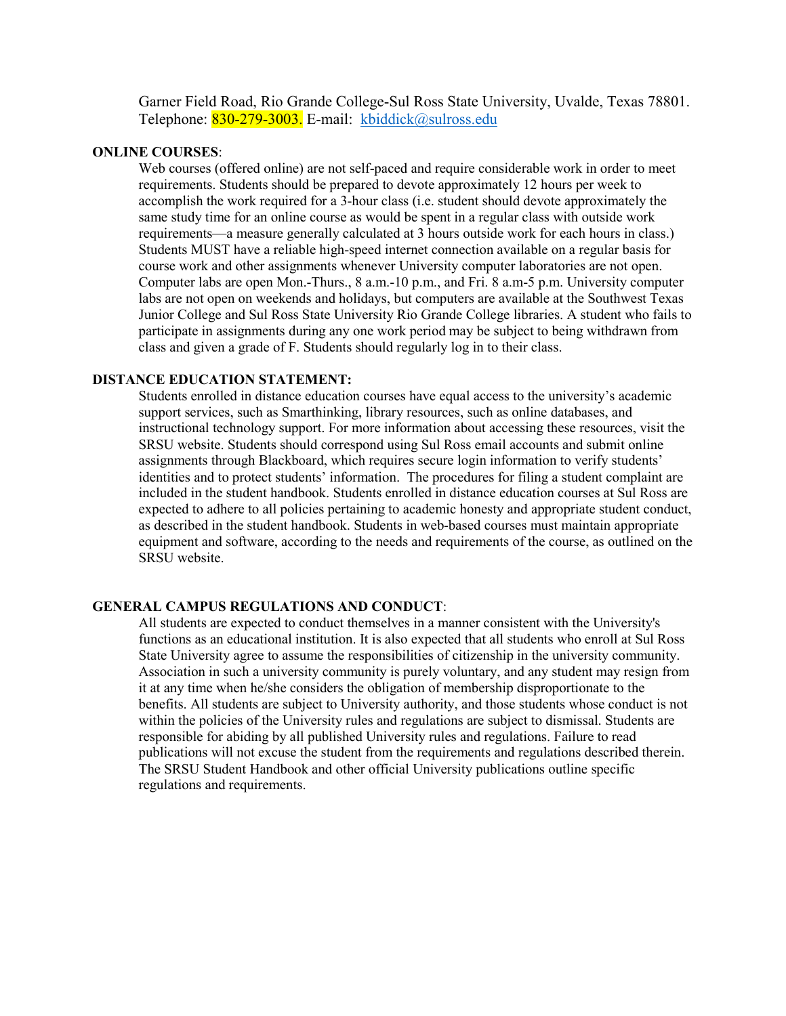Garner Field Road, Rio Grande College-Sul Ross State University, Uvalde, Texas 78801. Telephone: 830-279-3003. E-mail: [kbiddick@sulross.edu](mailto:kbiddick@sulross.edu)

#### **ONLINE COURSES**:

Web courses (offered online) are not self-paced and require considerable work in order to meet requirements. Students should be prepared to devote approximately 12 hours per week to accomplish the work required for a 3-hour class (i.e. student should devote approximately the same study time for an online course as would be spent in a regular class with outside work requirements—a measure generally calculated at 3 hours outside work for each hours in class.) Students MUST have a reliable high-speed internet connection available on a regular basis for course work and other assignments whenever University computer laboratories are not open. Computer labs are open Mon.-Thurs., 8 a.m.-10 p.m., and Fri. 8 a.m-5 p.m. University computer labs are not open on weekends and holidays, but computers are available at the Southwest Texas Junior College and Sul Ross State University Rio Grande College libraries. A student who fails to participate in assignments during any one work period may be subject to being withdrawn from class and given a grade of F. Students should regularly log in to their class.

#### **DISTANCE EDUCATION STATEMENT:**

Students enrolled in distance education courses have equal access to the university's academic support services, such as Smarthinking, library resources, such as online databases, and instructional technology support. For more information about accessing these resources, visit the SRSU website. Students should correspond using Sul Ross email accounts and submit online assignments through Blackboard, which requires secure login information to verify students' identities and to protect students' information. The procedures for filing a student complaint are included in the student handbook. Students enrolled in distance education courses at Sul Ross are expected to adhere to all policies pertaining to academic honesty and appropriate student conduct, as described in the student handbook. Students in web-based courses must maintain appropriate equipment and software, according to the needs and requirements of the course, as outlined on the SRSU website.

#### **GENERAL CAMPUS REGULATIONS AND CONDUCT**:

All students are expected to conduct themselves in a manner consistent with the University's functions as an educational institution. It is also expected that all students who enroll at Sul Ross State University agree to assume the responsibilities of citizenship in the university community. Association in such a university community is purely voluntary, and any student may resign from it at any time when he/she considers the obligation of membership disproportionate to the benefits. All students are subject to University authority, and those students whose conduct is not within the policies of the University rules and regulations are subject to dismissal. Students are responsible for abiding by all published University rules and regulations. Failure to read publications will not excuse the student from the requirements and regulations described therein. The SRSU Student Handbook and other official University publications outline specific regulations and requirements.